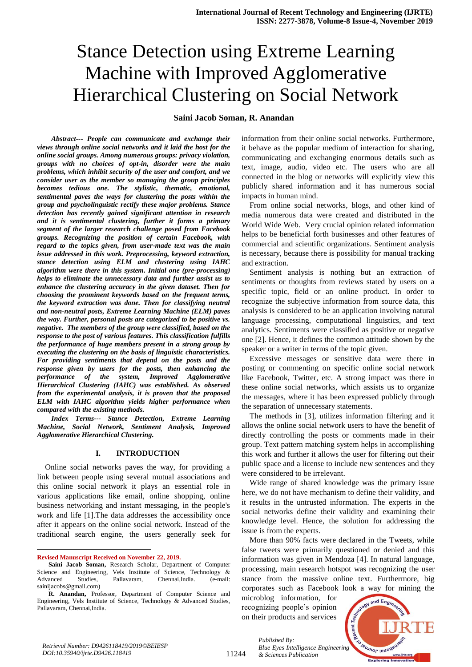## **Saini Jacob Soman, R. Anandan**

*Abstract--- People can communicate and exchange their views through online social networks and it laid the host for the online social groups. Among numerous groups: privacy violation, groups with no choices of opt-in, disorder were the main problems, which inhibit security of the user and comfort, and we consider user as the member so managing the group principles becomes tedious one. The stylistic, thematic, emotional, sentimental paves the ways for clustering the posts within the group and psycholinguistic rectify these major problems. Stance detection has recently gained significant attention in research and it is sentimental clustering, further it forms a primary segment of the larger research challenge posed from Facebook groups. Recognizing the position of certain Facebook, with regard to the topics given, from user-made text was the main issue addressed in this work. Preprocessing, keyword extraction, stance detection using ELM and clustering using IAHC algorithm were there in this system. Initial one (pre-processing) helps to eliminate the unnecessary data and further assist us to enhance the clustering accuracy in the given dataset. Then for choosing the prominent keywords based on the frequent terms, the keyword extraction was done. Then for classifying neutral and non-neutral posts, Extreme Learning Machine (ELM) paves the way. Further, personal posts are categorized to be positive vs. negative. The members of the group were classified, based on the response to the post of various features. This classification fulfills the performance of huge members present in a strong group by executing the clustering on the basis of linguistic characteristics. For providing sentiments that depend on the posts and the response given by users for the posts, then enhancing the performance of the system, Improved Agglomerative Hierarchical Clustering (IAHC) was established. As observed from the experimental analysis, it is proven that the proposed ELM with IAHC algorithm yields higher performance when compared with the existing methods.*

*Index Terms--- Stance Detection, Extreme Learning Machine, Social Network, Sentiment Analysis, Improved Agglomerative Hierarchical Clustering.* 

#### **I. INTRODUCTION**

Online social networks paves the way, for providing a link between people using several mutual associations and this online social network it plays an essential role in various applications like email, online shopping, online business networking and instant messaging, in the people's work and life [1].The data addresses the accessibility once after it appears on the online social network. Instead of the traditional search engine, the users generally seek for

**Revised Manuscript Received on November 22, 2019.**

 $\ddot{\phantom{a}}$ 

information from their online social networks. Furthermore, it behave as the popular medium of interaction for sharing, communicating and exchanging enormous details such as text, image, audio, video etc. The users who are all connected in the blog or networks will explicitly view this publicly shared information and it has numerous social impacts in human mind.

From online social networks, blogs, and other kind of media numerous data were created and distributed in the World Wide Web. Very crucial opinion related information helps to be beneficial forth businesses and other features of commercial and scientific organizations. Sentiment analysis is necessary, because there is possibility for manual tracking and extraction.

Sentiment analysis is nothing but an extraction of sentiments or thoughts from reviews stated by users on a specific topic, field or an online product. In order to recognize the subjective information from source data, this analysis is considered to be an application involving natural language processing, computational linguistics, and text analytics. Sentiments were classified as positive or negative one [2]. Hence, it defines the common attitude shown by the speaker or a writer in terms of the topic given.

Excessive messages or sensitive data were there in posting or commenting on specific online social network like Facebook, Twitter, etc. A strong impact was there in these online social networks, which assists us to organize the messages, where it has been expressed publicly through the separation of unnecessary statements.

The methods in [3], utilizes information filtering and it allows the online social network users to have the benefit of directly controlling the posts or comments made in their group. Text pattern matching system helps in accomplishing this work and further it allows the user for filtering out their public space and a license to include new sentences and they were considered to be irrelevant.

Wide range of shared knowledge was the primary issue here, we do not have mechanism to define their validity, and it results in the untrusted information. The experts in the social networks define their validity and examining their knowledge level. Hence, the solution for addressing the issue is from the experts.

More than 90% facts were declared in the Tweets, while false tweets were primarily questioned or denied and this information was given in Mendoza [4]. In natural language, processing, main research hotspot was recognizing the user stance from the massive online text. Furthermore, big corporates such as Facebook look a way for mining the

microblog information, for recognizing people's opinion on their products and services

*& Sciences Publication* 

*Published By:*



**Saini Jacob Soman,** Research Scholar, Department of Computer Science and Engineering, Vels Institute of Science, Technology & Advanced Studies, Pallavaram, Chennai,India. (e-mail: [sainijacobs@gmail.com\)](mailto:sainijacobs@gmail.com)

**R. Anandan,** Professor, Department of Computer Science and Engineering, Vels Institute of Science, Technology & Advanced Studies, Pallavaram, Chennai,India.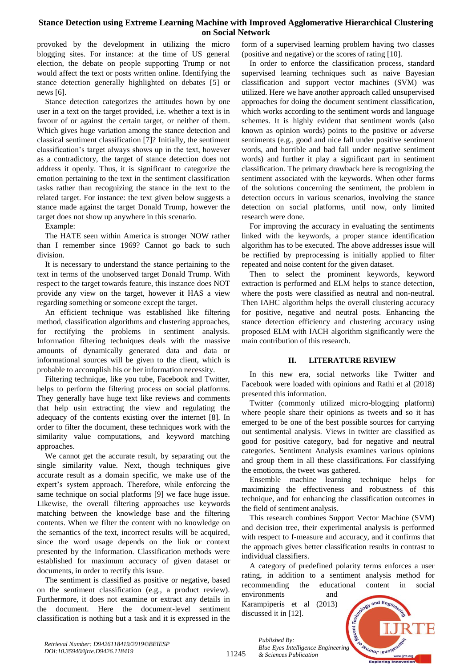provoked by the development in utilizing the micro blogging sites. For instance: at the time of US general election, the debate on people supporting Trump or not would affect the text or posts written online. Identifying the stance detection generally highlighted on debates [5] or news [6].

Stance detection categorizes the attitudes hown by one user in a text on the target provided, i.e. whether a text is in favour of or against the certain target, or neither of them. Which gives huge variation among the stance detection and classical sentiment classification [7]? Initially, the sentiment classification's target always shows up in the text, however as a contradictory, the target of stance detection does not address it openly. Thus, it is significant to categorize the emotion pertaining to the text in the sentiment classification tasks rather than recognizing the stance in the text to the related target. For instance: the text given below suggests a stance made against the target Donald Trump, however the target does not show up anywhere in this scenario.

Example:

The HATE seen within America is stronger NOW rather than I remember since 1969? Cannot go back to such division.

It is necessary to understand the stance pertaining to the text in terms of the unobserved target Donald Trump. With respect to the target towards feature, this instance does NOT provide any view on the target, however it HAS a view regarding something or someone except the target.

An efficient technique was established like filtering method, classification algorithms and clustering approaches, for rectifying the problems in sentiment analysis. Information filtering techniques deals with the massive amounts of dynamically generated data and data or informational sources will be given to the client, which is probable to accomplish his or her information necessity.

Filtering technique, like you tube, Facebook and Twitter, helps to perform the filtering process on social platforms. They generally have huge text like reviews and comments that help usin extracting the view and regulating the adequacy of the contents existing over the internet [8]. In order to filter the document, these techniques work with the similarity value computations, and keyword matching approaches.

We cannot get the accurate result, by separating out the single similarity value. Next, though techniques give accurate result as a domain specific, we make use of the expert's system approach. Therefore, while enforcing the same technique on social platforms [9] we face huge issue. Likewise, the overall filtering approaches use keywords matching between the knowledge base and the filtering contents. When we filter the content with no knowledge on the semantics of the text, incorrect results will be acquired, since the word usage depends on the link or context presented by the information. Classification methods were established for maximum accuracy of given dataset or documents, in order to rectify this issue.

The sentiment is classified as positive or negative, based on the sentiment classification (e.g., a product review). Furthermore, it does not examine or extract any details in the document. Here the document-level sentiment classification is nothing but a task and it is expressed in the

form of a supervised learning problem having two classes (positive and negative) or the scores of rating [10].

In order to enforce the classification process, standard supervised learning techniques such as naive Bayesian classification and support vector machines (SVM) was utilized. Here we have another approach called unsupervised approaches for doing the document sentiment classification, which works according to the sentiment words and language schemes. It is highly evident that sentiment words (also known as opinion words) points to the positive or adverse sentiments (e.g., good and nice fall under positive sentiment words, and horrible and bad fall under negative sentiment words) and further it play a significant part in sentiment classification. The primary drawback here is recognizing the sentiment associated with the keywords. When other forms of the solutions concerning the sentiment, the problem in detection occurs in various scenarios, involving the stance detection on social platforms, until now, only limited research were done.

For improving the accuracy in evaluating the sentiments linked with the keywords, a proper stance identification algorithm has to be executed. The above addresses issue will be rectified by preprocessing is initially applied to filter repeated and noise content for the given dataset.

Then to select the prominent keywords, keyword extraction is performed and ELM helps to stance detection, where the posts were classified as neutral and non-neutral. Then IAHC algorithm helps the overall clustering accuracy for positive, negative and neutral posts. Enhancing the stance detection efficiency and clustering accuracy using proposed ELM with IACH algorithm significantly were the main contribution of this research.

# **II. LITERATURE REVIEW**

In this new era, social networks like Twitter and Facebook were loaded with opinions and Rathi et al (2018) presented this information.

Twitter (commonly utilized micro-blogging platform) where people share their opinions as tweets and so it has emerged to be one of the best possible sources for carrying out sentimental analysis. Views in twitter are classified as good for positive category, bad for negative and neutral categories. Sentiment Analysis examines various opinions and group them in all these classifications. For classifying the emotions, the tweet was gathered.

Ensemble machine learning technique helps for maximizing the effectiveness and robustness of this technique, and for enhancing the classification outcomes in the field of sentiment analysis.

This research combines Support Vector Machine (SVM) and decision tree, their experimental analysis is performed with respect to f-measure and accuracy, and it confirms that the approach gives better classification results in contrast to individual classifiers.

A category of predefined polarity terms enforces a user rating, in addition to a sentiment analysis method for recommending the educational content in social environments and

Karampiperis et al (2013) discussed it in [12].

*& Sciences Publication* 

*Published By:*



*Retrieval Number: D9426118419/2019©BEIESP DOI:10.35940/ijrte.D9426.118419*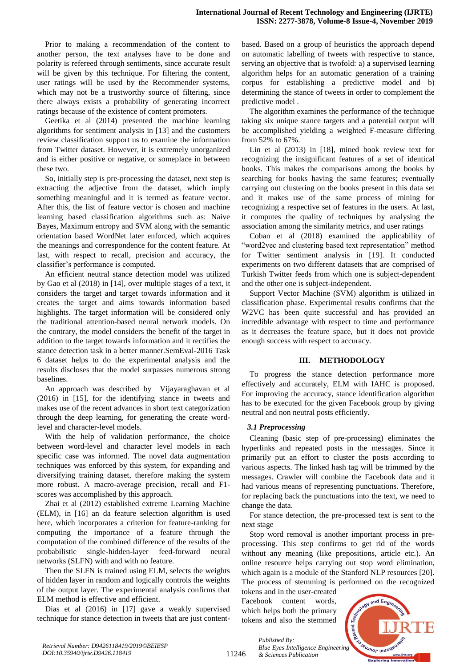Prior to making a recommendation of the content to another person, the text analyses have to be done and polarity is refereed through sentiments, since accurate result will be given by this technique. For filtering the content, user ratings will be used by the Recommender systems, which may not be a trustworthy source of filtering, since there always exists a probability of generating incorrect ratings because of the existence of content promoters.

Geetika et al (2014) presented the machine learning algorithms for sentiment analysis in [13] and the customers review classification support us to examine the information from Twitter dataset. However, it is extremely unorganized and is either positive or negative, or someplace in between these two.

So, initially step is pre-processing the dataset, next step is extracting the adjective from the dataset, which imply something meaningful and it is termed as feature vector. After this, the list of feature vector is chosen and machine learning based classification algorithms such as: Naive Bayes, Maximum entropy and SVM along with the semantic orientation based WordNet later enforced, which acquires the meanings and correspondence for the content feature. At last, with respect to recall, precision and accuracy, the classifier's performance is computed.

An efficient neutral stance detection model was utilized by Gao et al (2018) in [14], over multiple stages of a text, it considers the target and target towards information and it creates the target and aims towards information based highlights. The target information will be considered only the traditional attention-based neural network models. On the contrary, the model considers the benefit of the target in addition to the target towards information and it rectifies the stance detection task in a better manner.SemEval-2016 Task 6 dataset helps to do the experimental analysis and the results discloses that the model surpasses numerous strong baselines.

An approach was described by Vijayaraghavan et al (2016) in [15], for the identifying stance in tweets and makes use of the recent advances in short text categorization through the deep learning, for generating the create wordlevel and character-level models.

With the help of validation performance, the choice between word-level and character level models in each specific case was informed. The novel data augmentation techniques was enforced by this system, for expanding and diversifying training dataset, therefore making the system more robust. A macro-average precision, recall and F1 scores was accomplished by this approach.

Zhai et al (2012) established extreme Learning Machine (ELM), in [16] an da feature selection algorithm is used here, which incorporates a criterion for feature-ranking for computing the importance of a feature through the computation of the combined difference of the results of the probabilistic single-hidden-layer feed-forward neural networks (SLFN) with and with no feature.

Then the SLFN is trained using ELM, selects the weights of hidden layer in random and logically controls the weights of the output layer. The experimental analysis confirms that ELM method is effective and efficient.

Dias et al (2016) in [17] gave a weakly supervised technique for stance detection in tweets that are just contentbased. Based on a group of heuristics the approach depend on automatic labelling of tweets with respective to stance, serving an objective that is twofold: a) a supervised learning algorithm helps for an automatic generation of a training corpus for establishing a predictive model and b) determining the stance of tweets in order to complement the predictive model .

The algorithm examines the performance of the technique taking six unique stance targets and a potential output will be accomplished yielding a weighted F-measure differing from 52% to 67%.

Lin et al (2013) in [18], mined book review text for recognizing the insignificant features of a set of identical books. This makes the comparisons among the books by searching for books having the same features; eventually carrying out clustering on the books present in this data set and it makes use of the same process of mining for recognizing a respective set of features in the users. At last, it computes the quality of techniques by analysing the association among the similarity metrics, and user ratings

Coban et al (2018) examined the applicability of "word2vec and clustering based text representation" method for Twitter sentiment analysis in [19]. It conducted experiments on two different datasets that are comprised of Turkish Twitter feeds from which one is subject-dependent and the other one is subject-independent.

Support Vector Machine (SVM) algorithm is utilized in classification phase. Experimental results confirms that the W2VC has been quite successful and has provided an incredible advantage with respect to time and performance as it decreases the feature space, but it does not provide enough success with respect to accuracy.

## **III. METHODOLOGY**

To progress the stance detection performance more effectively and accurately, ELM with IAHC is proposed. For improving the accuracy, stance identification algorithm has to be executed for the given Facebook group by giving neutral and non neutral posts efficiently.

## *3.1 Preprocessing*

Cleaning (basic step of pre-processing) eliminates the hyperlinks and repeated posts in the messages. Since it primarily put an effort to cluster the posts according to various aspects. The linked hash tag will be trimmed by the messages. Crawler will combine the Facebook data and it had various means of representing punctuations. Therefore, for replacing back the punctuations into the text, we need to change the data.

For stance detection, the pre-processed text is sent to the next stage

Stop word removal is another important process in preprocessing. This step confirms to get rid of the words without any meaning (like prepositions, article etc.). An online resource helps carrying out stop word elimination, which again is a module of the Stanford NLP resources [20]. The process of stemming is performed on the recognized

tokens and in the user-created Facebook content words, which helps both the primary tokens and also the stemmed



11246

*Published By: Blue Eyes Intelligence Engineering & Sciences Publication*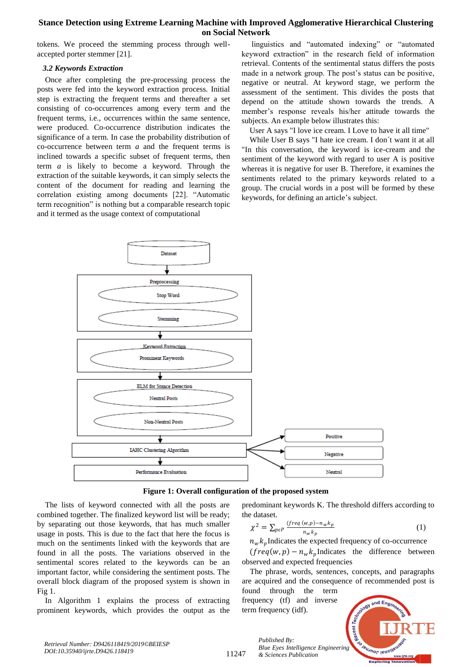tokens. We proceed the stemming process through wellaccepted porter stemmer [21].

## *3.2 Keywords Extraction*

Once after completing the pre-processing process the posts were fed into the keyword extraction process. Initial step is extracting the frequent terms and thereafter a set consisting of co-occurrences among every term and the frequent terms, i.e., occurrences within the same sentence, were produced. Co-occurrence distribution indicates the significance of a term. In case the probability distribution of co-occurrence between term *a* and the frequent terms is inclined towards a specific subset of frequent terms, then term *a* is likely to become a keyword. Through the extraction of the suitable keywords, it can simply selects the content of the document for reading and learning the correlation existing among documents [22]. "Automatic term recognition" is nothing but a comparable research topic and it termed as the usage context of computational

linguistics and "automated indexing" or "automated keyword extraction" in the research field of information retrieval. Contents of the sentimental status differs the posts made in a network group. The post's status can be positive, negative or neutral. At keyword stage, we perform the assessment of the sentiment. This divides the posts that depend on the attitude shown towards the trends. A member's response reveals his/her attitude towards the subjects. An example below illustrates this:

User A says "I love ice cream. I Love to have it all time"

While User B says "I hate ice cream. I don´t want it at all "In this conversation, the keyword is ice-cream and the sentiment of the keyword with regard to user A is positive whereas it is negative for user B. Therefore, it examines the sentiments related to the primary keywords related to a group. The crucial words in a post will be formed by these keywords, for defining an article's subject.



## **Figure 1: Overall configuration of the proposed system**

The lists of keyword connected with all the posts are combined together. The finalized keyword list will be ready; by separating out those keywords, that has much smaller usage in posts. This is due to the fact that here the focus is much on the sentiments linked with the keywords that are found in all the posts. The variations observed in the sentimental scores related to the keywords can be an important factor, while considering the sentiment posts. The overall block diagram of the proposed system is shown in Fig 1.

In Algorithm 1 explains the process of extracting prominent keywords, which provides the output as the predominant keywords K. The threshold differs according to the dataset.

$$
\chi^2 = \sum_{p \in P} \frac{(freq(w, p) - n_w k_p}{n_w k_p} \tag{1}
$$

 $n_w k_p$ Indicates the expected frequency of co-occurrence  $(freq(w, p) - n_w k_p$ Indicates the difference between observed and expected frequencies

The phrase, words, sentences, concepts, and paragraphs are acquired and the consequence of recommended post is found through the term

frequency (tf) and inverse term frequency (idf).



*Retrieval Number: D9426118419/2019©BEIESP DOI:10.35940/ijrte.D9426.118419*

11247

*Published By: Blue Eyes Intelligence Engineering & Sciences Publication*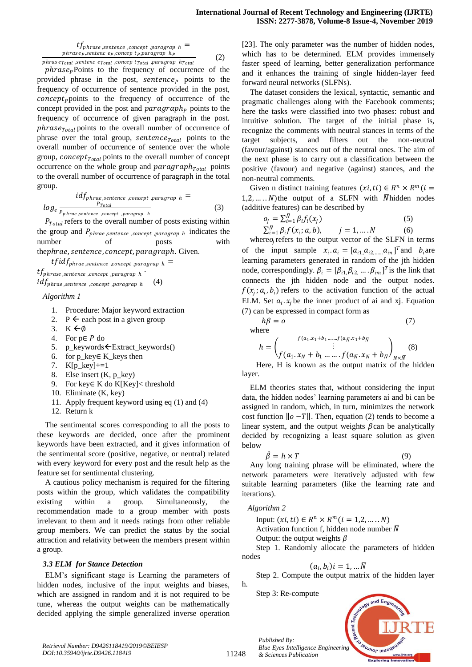$tf_{phrase, sentence, concept, paragraph} =$  $phras$ ep, sentencep, conceptp, paragraphp

(2)

phras $\,$ e $_{Total}$  ,sentenc e $_{Total}$  ,concep  $t_{Total}$  ,paragrap  $\,h_{Total}$ 

 $phrase<sub>P</sub>$  Points to the frequency of occurrence of the provided phrase in the post, sentence<sub>p</sub> points to the frequency of occurrence of sentence provided in the post,  $concept_{p}$  points to the frequency of occurrence of the concept provided in the post and  $paragnph<sub>p</sub>$  points to the frequency of occurrence of given paragraph in the post.  $phrase<sub>Total</sub>$  points to the overall number of occurrence of phrase over the total group,  $sentence_{Total}$  points to the overall number of occurrence of sentence over the whole group, *concept* $_{Total}$  points to the overall number of concept occurrence on the whole group and  $paragnh_{Total}$  points to the overall number of occurrence of paragraph in the total group.

$$
i d f_{phrae, sentence, concept, paragraph} =
$$
  

$$
log_e \frac{P_{Total}}{P_{phrae, sentence, concept, paragraph}} \tag{3}
$$

 $P_{Total}$  refers to the overall number of posts existing within the group and  $P_{phrase, sentence, concept, paragraph}$  indicates the number of posts with thephrae, sentence, concept, paragraph. Given.

 $tfidf_{phrase, sentence, connect}$  , paragrap  $h =$ 

 $tf_{phrase \, sentence}$  , concept , paragrap h  $\cdot$  $idf_{phrase, sentence, concept, paragraph}$ (4)

*Algorithm 1*

- 1. Procedure: Major keyword extraction
- 2.  $P \leftarrow$  each post in a given group
- 3.  $K \leftarrow \emptyset$
- 4. For  $p \in P$  do
- 5. p\_keywords ← Extract\_keywords()
- 6. for p\_key∈ K\_keys then
- 7. K[p\_key]+=1
- 8. Else insert (K, p\_key)
- 9. For key∈ K do K[Key]< threshold
- 10. Eliminate (K, key)
- 11. Apply frequent keyword using eq (1) and (4)
- 12. Return k

The sentimental scores corresponding to all the posts to these keywords are decided, once after the prominent keywords have been extracted, and it gives information of the sentimental score (positive, negative, or neutral) related with every keyword for every post and the result help as the feature set for sentimental clustering.

A cautious policy mechanism is required for the filtering posts within the group, which validates the compatibility existing within a group. Simultaneously, the recommendation made to a group member with posts irrelevant to them and it needs ratings from other reliable group members. We can predict the status by the social attraction and relativity between the members present within a group.

# *3.3 ELM for Stance Detection*

ELM's significant stage is Learning the parameters of hidden nodes, inclusive of the input weights and biases, which are assigned in random and it is not required to be tune, whereas the output weights can be mathematically decided applying the simple generalized inverse operation

[23]. The only parameter was the number of hidden nodes, which has to be determined. ELM provides immensely faster speed of learning, better generalization performance and it enhances the training of single hidden-layer feed forward neural networks (SLFNs).

The dataset considers the lexical, syntactic, semantic and pragmatic challenges along with the Facebook comments; here the tasks were classified into two phases: robust and intuitive solution. The target of the initial phase is, recognize the comments with neutral stances in terms of the target subjects, and filters out the non-neutral (favour/against) stances out of the neutral ones. The aim of the next phase is to carry out a classification between the positive (favour) and negative (against) stances, and the non-neutral comments.

Given n distinct training features  $(xi, ti) \in R^n \times R^m$  (*i* = 1,2, ...  $N$ ) the output of a SLFN with  $\overline{N}$  hidden nodes (additive features) can be described by

$$
o_j = \sum_{i=1}^{N} \beta_i f_i(x_j)
$$
  
\n
$$
\sum_{i=1}^{N} \beta_i f(x_i; a, b), \qquad j = 1, ..., N
$$
 (6)

where $o_j$  refers to the output vector of the SLFN in terms of the input sample  $x_i$ .  $a_i = [a_{i1}, a_{i2, \dots, n} a_{in}]^T$  and  $b_i$  are learning parameters generated in random of the jth hidden node, correspondingly.  $\beta_i = [\beta_{i1}, \beta_{i2}, \dots, \beta_{im}]^T$  is the link that connects the jth hidden node and the output nodes.  $f(x_j; a_i, b_i)$  refers to the activation function of the actual ELM. Set  $a_i$ .  $x_j$  be the inner product of ai and xj. Equation (7) can be expressed in compact form as

$$
h\beta = o
$$
 (7)  
where  

$$
h = \begin{pmatrix} f(a_1x_1 + b_1 + \dots + f(a_Nx_1 + b_N)) & (8) \\ \vdots & \vdots & (8) \\ f(a_1 \cdot x_N + b_1 + \dots + f(a_N \cdot x_N + b_N)) & (8) \end{pmatrix}
$$

Here, H is known as the output matrix of the hidden layer.

ELM theories states that, without considering the input data, the hidden nodes' learning parameters ai and bi can be assigned in random, which, in turn, minimizes the network cost function  $\|o - T\|$ . Then, equation (2) tends to become a linear system, and the output weights  $\beta$  can be analytically decided by recognizing a least square solution as given below

$$
\hat{\beta} = h \times T \tag{9}
$$

Any long training phrase will be eliminated, where the network parameters were iteratively adjusted with few suitable learning parameters (like the learning rate and iterations).

## *Algorithm 2*

Input:  $(xi, ti) \in R^n \times R^m (i = 1, 2, ..., N)$ Activation function f, hidden node number  $\overline{N}$ Output: the output weights  $\beta$ 

Step 1. Randomly allocate the parameters of hidden nodes

$$
(a_i,b_i)i=1,...\overline{N}
$$

Step 2. Compute the output matrix of the hidden layer

Step 3: Re-compute

*& Sciences Publication* 

*Published By:*



11248

h.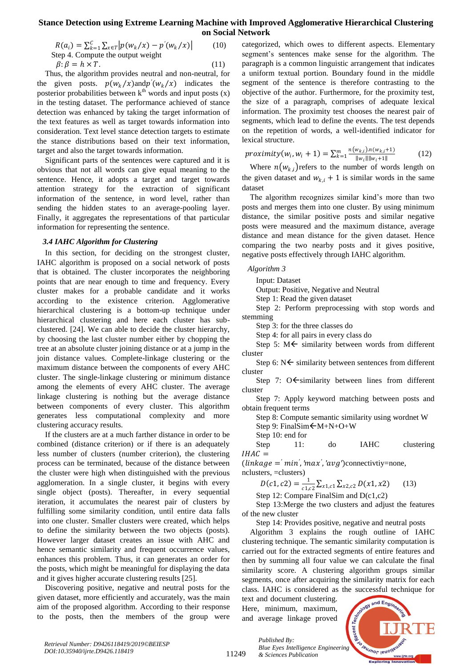$$
R(a_i) = \sum_{k=1}^{C} \sum_{x \in T} \left| p(w_k/x) - p'(w_k/x) \right|
$$
 (10)  
Step 4. Compute the output weight  

$$
\beta: \beta = h \times T.
$$
 (11)

Thus, the algorithm provides neutral and non-neutral, for the given posts.  $p(w_k/x)$  and  $p'(w_k/x)$  indicates the posterior probabilities between  $k<sup>th</sup>$  words and input posts (x) in the testing dataset. The performance achieved of stance detection was enhanced by taking the target information of the text features as well as target towards information into consideration. Text level stance detection targets to estimate the stance distributions based on their text information, target and also the target towards information.

Significant parts of the sentences were captured and it is obvious that not all words can give equal meaning to the sentence. Hence, it adopts a target and target towards attention strategy for the extraction of significant information of the sentence, in word level, rather than sending the hidden states to an average-pooling layer. Finally, it aggregates the representations of that particular information for representing the sentence.

#### *3.4 IAHC Algorithm for Clustering*

In this section, for deciding on the strongest cluster, IAHC algorithm is proposed on a social network of posts that is obtained. The cluster incorporates the neighboring points that are near enough to time and frequency. Every cluster makes for a probable candidate and it works according to the existence criterion. Agglomerative hierarchical clustering is a bottom-up technique under hierarchical clustering and here each cluster has subclustered. [24]. We can able to decide the cluster hierarchy, by choosing the last cluster number either by chopping the tree at an absolute cluster joining distance or at a jump in the join distance values. Complete-linkage clustering or the maximum distance between the components of every AHC cluster. The single-linkage clustering or minimum distance among the elements of every AHC cluster. The average linkage clustering is nothing but the average distance between components of every cluster. This algorithm generates less computational complexity and more clustering accuracy results.

If the clusters are at a much farther distance in order to be combined (distance criterion) or if there is an adequately less number of clusters (number criterion), the clustering process can be terminated, because of the distance between the cluster were high when distinguished with the previous agglomeration. In a single cluster, it begins with every single object (posts). Thereafter, in every sequential iteration, it accumulates the nearest pair of clusters by fulfilling some similarity condition, until entire data falls into one cluster. Smaller clusters were created, which helps to define the similarity between the two objects (posts). However larger dataset creates an issue with AHC and hence semantic similarity and frequent occurrence values, enhances this problem. Thus, it can generates an order for the posts, which might be meaningful for displaying the data and it gives higher accurate clustering results [25].

Discovering positive, negative and neutral posts for the given dataset, more efficiently and accurately, was the main aim of the proposed algorithm. According to their response to the posts, then the members of the group were categorized, which owes to different aspects. Elementary segment's sentences make sense for the algorithm. The paragraph is a common linguistic arrangement that indicates a uniform textual portion. Boundary found in the middle segment of the sentence is therefore contrasting to the objective of the author. Furthermore, for the proximity test, the size of a paragraph, comprises of adequate lexical information. The proximity test chooses the nearest pair of segments, which lead to define the events. The test depends on the repetition of words, a well-identified indicator for lexical structure.

$$
proximity(w_i, w_i + 1) = \sum_{k=1}^{m} \frac{n(w_{k,i}) \cdot n(w_{k,i} + 1)}{\|w_i\| \|w_i + 1\|}
$$
(12)

Where  $n(w_{k,i})$  refers to the number of words length on the given dataset and  $w_{k,i} + 1$  is similar words in the same dataset

The algorithm recognizes similar kind's more than two posts and merges them into one cluster. By using minimum distance, the similar positive posts and similar negative posts were measured and the maximum distance, average distance and mean distance for the given dataset. Hence comparing the two nearby posts and it gives positive, negative posts effectively through IAHC algorithm.

## *Algorithm 3*

Input: Dataset

Output: Positive, Negative and Neutral

Step 1: Read the given dataset

Step 2: Perform preprocessing with stop words and stemming

Step 3: for the three classes do

Step 4: for all pairs in every class do

Step 5:  $M \leftarrow$  similarity between words from different cluster

Step 6:  $N \leftarrow$  similarity between sentences from different cluster

Step 7:  $O \leftarrow$  similarity between lines from different cluster

Step 7: Apply keyword matching between posts and obtain frequent terms

Step 8: Compute semantic similarity using wordnet W

Step 9: FinalSim $\leftarrow$ M+N+O+W

Step 10: end for

Step 11: do IAHC clustering  $IHAC =$ 

 $\langle$ *linkage* =  $\langle$ *min', 'max', 'avg'*)connectivtiy=none, nclusters, =clusters)

$$
D(c1, c2) = \frac{1}{c1, c2} \sum_{x1, c1} \sum_{x2, c2} D(x1, x2) \tag{13}
$$

Step 12: Compare FinalSim and D(c1,c2)

Step 13:Merge the two clusters and adjust the features of the new cluster

Step 14: Provides positive, negative and neutral posts

Algorithm 3 explains the rough outline of IAHC clustering technique. The semantic similarity computation is carried out for the extracted segments of entire features and then by summing all four value we can calculate the final similarity score. A clustering algorithm groups similar segments, once after acquiring the similarity matrix for each class. IAHC is considered as the successful technique for

text and document clustering. Here, minimum, maximum, and average linkage proved

*& Sciences Publication* 

*Published By:*

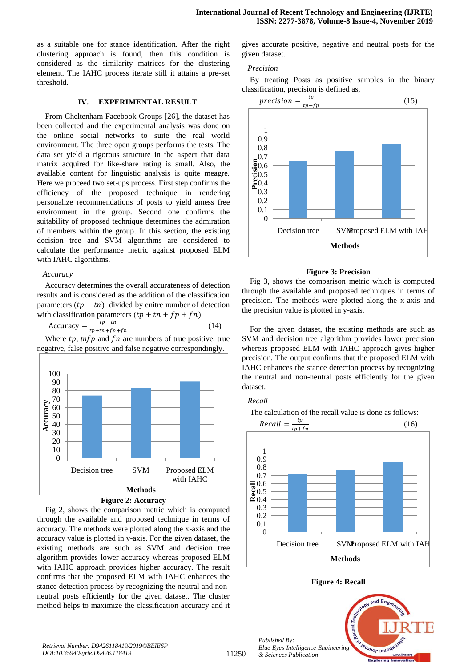as a suitable one for stance identification. After the right clustering approach is found, then this condition is considered as the similarity matrices for the clustering element. The IAHC process iterate still it attains a pre-set threshold.

#### **IV. EXPERIMENTAL RESULT**

From Cheltenham Facebook Groups [26], the dataset has been collected and the experimental analysis was done on the online social networks to suite the real world environment. The three open groups performs the tests. The data set yield a rigorous structure in the aspect that data matrix acquired for like-share rating is small. Also, the available content for linguistic analysis is quite meagre. Here we proceed two set-ups process. First step confirms the efficiency of the proposed technique in rendering personalize recommendations of posts to yield amess free environment in the group. Second one confirms the suitability of proposed technique determines the admiration of members within the group. In this section, the existing decision tree and SVM algorithms are considered to calculate the performance metric against proposed ELM with IAHC algorithms.

#### *Accuracy*

Accuracy determines the overall accurateness of detection results and is considered as the addition of the classification parameters  $(tp + tn)$  divided by enitre number of detection with classification parameters  $(tp + tn + fp + fn)$ 

$$
Accuracy = \frac{tp + tn}{tp + tn + fp + fn}
$$
 (14)

Where  $tp$ ,  $\inf p$  and  $fn$  are numbers of true positive, true negative, false positive and false negative correspondingly.





Fig 2, shows the comparison metric which is computed through the available and proposed technique in terms of accuracy. The methods were plotted along the x-axis and the accuracy value is plotted in y-axis. For the given dataset, the existing methods are such as SVM and decision tree algorithm provides lower accuracy whereas proposed ELM with IAHC approach provides higher accuracy. The result confirms that the proposed ELM with IAHC enhances the stance detection process by recognizing the neutral and nonneutral posts efficiently for the given dataset. The cluster method helps to maximize the classification accuracy and it

gives accurate positive, negative and neutral posts for the given dataset.

#### *Precision*

By treating Posts as positive samples in the binary classification, precision is defined as,



#### **Figure 3: Precision**

Fig 3, shows the comparison metric which is computed through the available and proposed techniques in terms of precision. The methods were plotted along the x-axis and the precision value is plotted in y-axis.

For the given dataset, the existing methods are such as SVM and decision tree algorithm provides lower precision whereas proposed ELM with IAHC approach gives higher precision. The output confirms that the proposed ELM with IAHC enhances the stance detection process by recognizing the neutral and non-neutral posts efficiently for the given dataset.

The calculation of the recall value is done as follows:

#### *Recall*

 $Recall = \frac{tp}{t}$  $tp + fn$ (16)  $\Omega$ 0.1 0.2 0.3 0.4 0.5 **Recall**<br>**Record**<br>**Record** 0.7 0.8 0.9 1 Decision tree SVMProposed ELM with IAH **Methods**

**Figure 4: Recall**

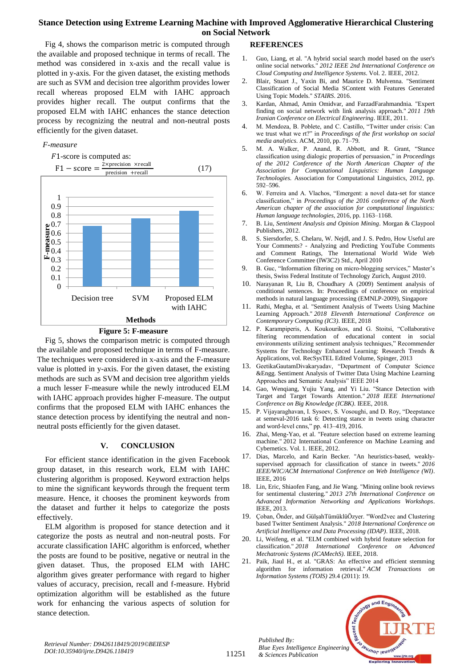Fig 4, shows the comparison metric is computed through the available and proposed technique in terms of recall. The method was considered in x-axis and the recall value is plotted in y-axis. For the given dataset, the existing methods are such as SVM and decision tree algorithm provides lower recall whereas proposed ELM with IAHC approach provides higher recall. The output confirms that the proposed ELM with IAHC enhances the stance detection process by recognizing the neutral and non-neutral posts efficiently for the given dataset.

## *F-measure*





Fig 5, shows the comparison metric is computed through the available and proposed technique in terms of F-measure. The techniques were considered in x-axis and the F-measure value is plotted in y-axis. For the given dataset, the existing methods are such as SVM and decision tree algorithm yields a much lesser F-measure while the newly introduced ELM with IAHC approach provides higher F-measure. The output confirms that the proposed ELM with IAHC enhances the stance detection process by identifying the neutral and nonneutral posts efficiently for the given dataset.

## **V. CONCLUSION**

For efficient stance identification in the given Facebook group dataset, in this research work, ELM with IAHC clustering algorithm is proposed. Keyword extraction helps to mine the significant keywords through the frequent term measure. Hence, it chooses the prominent keywords from the dataset and further it helps to categorize the posts effectively.

ELM algorithm is proposed for stance detection and it categorize the posts as neutral and non-neutral posts. For accurate classification IAHC algorithm is enforced, whether the posts are found to be positive, negative or neutral in the given dataset. Thus, the proposed ELM with IAHC algorithm gives greater performance with regard to higher values of accuracy, precision, recall and f-measure. Hybrid optimization algorithm will be established as the future work for enhancing the various aspects of solution for stance detection.

## **REFERENCES**

- 1. Guo, Liang, et al. "A hybrid social search model based on the user's online social networks." *2012 IEEE 2nd International Conference on Cloud Computing and Intelligence Systems*. Vol. 2. IEEE, 2012.
- 2. Blair, Stuart J., Yaxin Bi, and Maurice D. Mulvenna. "Sentiment Classification of Social Media SContent with Features Generated Using Topic Models." *STAIRS*. 2016.
- 3. Kardan, Ahmad, Amin Omidvar, and FarzadFarahmandnia. "Expert finding on social network with link analysis approach." *2011 19th Iranian Conference on Electrical Engineering*. IEEE, 2011.
- 4. M. Mendoza, B. Poblete, and C. Castillo, "Twitter under crisis: Can we trust what we rt?" in *Proceedings of the first workshop on social media analytics*. ACM, 2010, pp. 71–79.
- 5. M. A. Walker, P. Anand, R. Abbott, and R. Grant, "Stance classification using dialogic properties of persuasion," in *Proceedings of the 2012 Conference of the North American Chapter of the Association for Computational Linguistics: Human Language Technologies*. Association for Computational Linguistics, 2012, pp. 592–596.
- 6. W. Ferreira and A. Vlachos, "Emergent: a novel data-set for stance classification," in *Proceedings of the 2016 conference of the North American chapter of the association for computational linguistics: Human language technologies*, 2016, pp. 1163–1168.
- 7. B. Liu, *Sentiment Analysis and Opinion Mining*. Morgan & Claypool Publishers, 2012.
- 8. S. Siersdorfer, S. Chelaru, W. Nejdl, and J. S. Pedro, How Useful are Your Comments? - Analyzing and Predicting YouTube Comments and Comment Ratings, The International World Wide Web Conference Committee (IW3C2) Std., April 2010
- 9. B. Guc, "Information filtering on micro-blogging services," Master's thesis, Swiss Federal Institute of Technology Zurich, August 2010.
- 10. Narayanan R, Liu B, Choudhary A (2009) Sentiment analysis of conditional sentences. In: Proceedings of conference on empirical methods in natural language processing (EMNLP-2009), Singapore
- 11. Rathi, Megha, et al. "Sentiment Analysis of Tweets Using Machine Learning Approach." *2018 Eleventh International Conference on Contemporary Computing (IC3)*. IEEE, 2018
- 12. P. Karampiperis, A. Koukourikos, and G. Stoitsi, "Collaborative filtering recommendation of educational content in social environments utilizing sentiment analysis techniques," Recommender Systems for Technology Enhanced Learning: Research Trends & Applications, vol. RecSysTEL Edited Volume, Spinger, 2013
- 13. GeetikaGautamDivakaryadav, "Department of Computer Science &Engg. Sentiment Analysis of Twitter Data Using Machine Learning Approaches and Semantic Analysis" IEEE 2014
- 14. Gao, Wenqiang, Yujiu Yang, and Yi Liu. "Stance Detection with Target and Target Towards Attention." *2018 IEEE International Conference on Big Knowledge (ICBK)*. IEEE, 2018.
- 15. P. Vijayaraghavan, I. Sysoev, S. Vosoughi, and D. Roy, "Deepstance at semeval-2016 task 6: Detecting stance in tweets using character and word-level cnns," pp. 413–419, 2016.
- 16. Zhai, Meng-Yao, et al. "Feature selection based on extreme learning machine." 2012 International Conference on Machine Learning and Cybernetics. Vol. 1. IEEE, 2012.
- 17. Dias, Marcelo, and Karin Becker. "An heuristics-based, weaklysupervised approach for classification of stance in tweets." *2016 IEEE/WIC/ACM International Conference on Web Intelligence (WI)*. IEEE, 2016
- 18. Lin, Eric, Shiaofen Fang, and Jie Wang. "Mining online book reviews for sentimental clustering." *2013 27th International Conference on Advanced Information Networking and Applications Workshops*. IEEE, 2013.
- 19. Çoban, Önder, and GülşahTümüklüÖzyer. "Word2vec and Clustering based Twitter Sentiment Analysis." *2018 International Conference on Artificial Intelligence and Data Processing (IDAP)*. IEEE, 2018.
- 20. Li, Weifeng, et al. "ELM combined with hybrid feature selection for classification." *2018 International Conference on Advanced Mechatronic Systems (ICAMechS)*. IEEE, 2018.
- 21. Paik, Jiaul H., et al. "GRAS: An effective and efficient stemming algorithm for information retrieval." *ACM Transactions on Information Systems (TOIS)* 29.4 (2011): 19.





*Retrieval Number: D9426118419/2019©BEIESP DOI:10.35940/ijrte.D9426.118419*